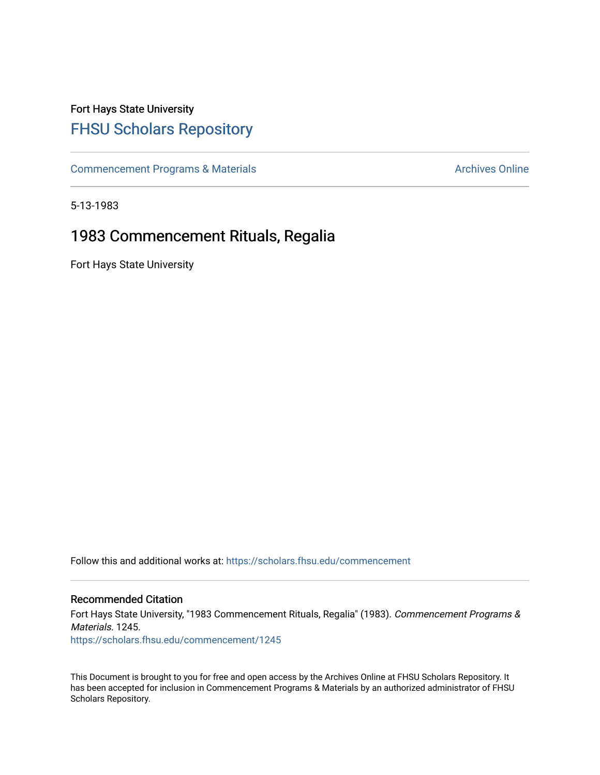## Fort Hays State University [FHSU Scholars Repository](https://scholars.fhsu.edu/)

[Commencement Programs & Materials](https://scholars.fhsu.edu/commencement) **Archives Online** Archives Online

5-13-1983

## 1983 Commencement Rituals, Regalia

Fort Hays State University

Follow this and additional works at: [https://scholars.fhsu.edu/commencement](https://scholars.fhsu.edu/commencement?utm_source=scholars.fhsu.edu%2Fcommencement%2F1245&utm_medium=PDF&utm_campaign=PDFCoverPages)

## Recommended Citation

Fort Hays State University, "1983 Commencement Rituals, Regalia" (1983). Commencement Programs & Materials. 1245. [https://scholars.fhsu.edu/commencement/1245](https://scholars.fhsu.edu/commencement/1245?utm_source=scholars.fhsu.edu%2Fcommencement%2F1245&utm_medium=PDF&utm_campaign=PDFCoverPages) 

This Document is brought to you for free and open access by the Archives Online at FHSU Scholars Repository. It has been accepted for inclusion in Commencement Programs & Materials by an authorized administrator of FHSU Scholars Repository.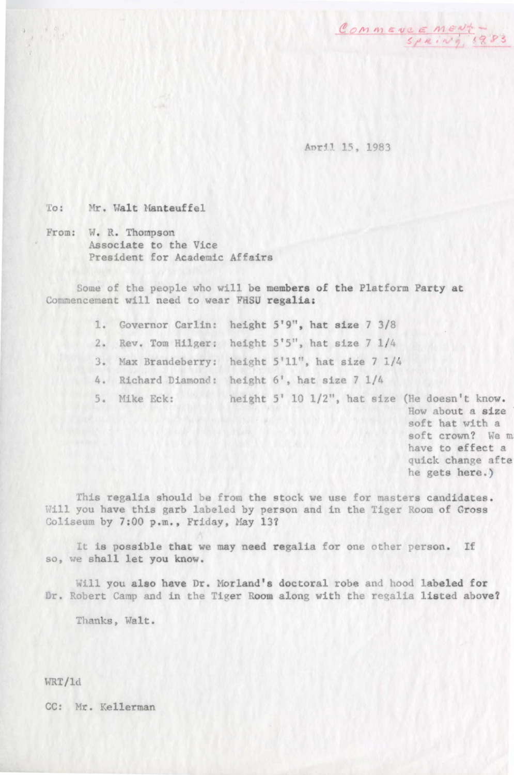Commence ment -

April 15, 1983

To: Mr. Walt Manteuffel

From: W.R. Thompson Associate to the Vice President for Academic Affairs

Some of the people who will be members of the Platform Party at Commencement will need to wear FHSU regalia:

- 1. Governor Carlin: height  $5'9''$ , hat size  $7 \frac{3}{8}$
- 2. Rev. Tom Hilger: height 5'5", hat size 7 1/4
- J. Max Brandeberry: height 5'11", hat size 7 1/4
- 4. Richard Diamond: height 6', hat size 7 1/4
- 5, Mike Eck: height  $5'$  10  $1/2$ ", hat size (He doesn't know.

How about a size soft hat with a soft crown? We m have to effect a quick change afte he gets here.)

fhis regalia should be from the stock we use for masters candidates, Will you have this garb labeled by person and in the Tiger Room of Gross Coliseum by 7:00 p.m., Friday, May 13?

It is possible that we may need regalia for one other person. If so, we shall let you know.

Will you also have Dr. Morland's doctoral robe and hood labeled for Dr. Robert Camp and in the Tiger Room along with the regalia listed above?

Thanks, Walt.

WRT/ld

CC: Mr. Kellerman